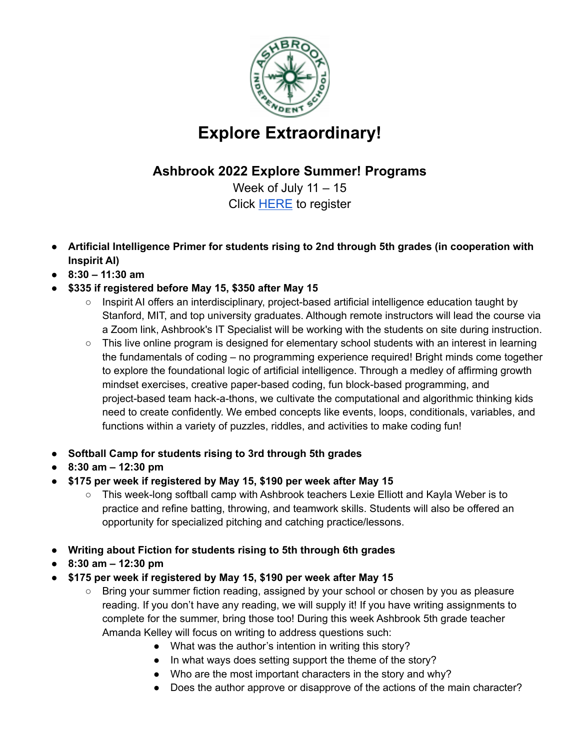

## **Explore Extraordinary!**

## **Ashbrook 2022 Explore Summer! Programs**

Week of July 11 - 15 Click [HERE](https://forms.gle/ZbCt6RwyBEhmvC1B6) to register

- **● Artificial Intelligence Primer for students rising to 2nd through 5th grades (in cooperation with Inspirit AI)**
- **● 8:30 – 11:30 am**
- **● \$335 if registered before May 15, \$350 after May 15**
	- **○** Inspirit AI offers an interdisciplinary, project-based artificial intelligence education taught by Stanford, MIT, and top university graduates. Although remote instructors will lead the course via a Zoom link, Ashbrook's IT Specialist will be working with the students on site during instruction.
	- This live online program is designed for elementary school students with an interest in learning the fundamentals of coding – no programming experience required! Bright minds come together to explore the foundational logic of artificial intelligence. Through a medley of affirming growth mindset exercises, creative paper-based coding, fun block-based programming, and project-based team hack-a-thons, we cultivate the computational and algorithmic thinking kids need to create confidently. We embed concepts like events, loops, conditionals, variables, and functions within a variety of puzzles, riddles, and activities to make coding fun!
- **● Softball Camp for students rising to 3rd through 5th grades**
- **● 8:30 am – 12:30 pm**
- **● \$175 per week if registered by May 15, \$190 per week after May 15**
	- **○** This week-long softball camp with Ashbrook teachers Lexie Elliott and Kayla Weber is to practice and refine batting, throwing, and teamwork skills. Students will also be offered an opportunity for specialized pitching and catching practice/lessons.
- **● Writing about Fiction for students rising to 5th through 6th grades**
- **● 8:30 am – 12:30 pm**
- **● \$175 per week if registered by May 15, \$190 per week after May 15**
	- Bring your summer fiction reading, assigned by your school or chosen by you as pleasure reading. If you don't have any reading, we will supply it! If you have writing assignments to complete for the summer, bring those too! During this week Ashbrook 5th grade teacher Amanda Kelley will focus on writing to address questions such:
		- What was the author's intention in writing this story?
		- In what ways does setting support the theme of the story?
		- Who are the most important characters in the story and why?
		- Does the author approve or disapprove of the actions of the main character?